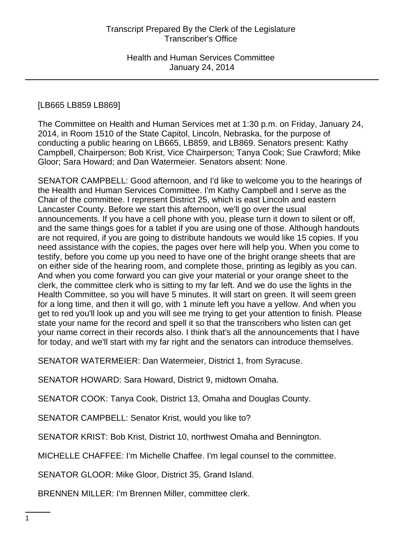# [LB665 LB859 LB869]

The Committee on Health and Human Services met at 1:30 p.m. on Friday, January 24, 2014, in Room 1510 of the State Capitol, Lincoln, Nebraska, for the purpose of conducting a public hearing on LB665, LB859, and LB869. Senators present: Kathy Campbell, Chairperson; Bob Krist, Vice Chairperson; Tanya Cook; Sue Crawford; Mike Gloor; Sara Howard; and Dan Watermeier. Senators absent: None.

SENATOR CAMPBELL: Good afternoon, and I'd like to welcome you to the hearings of the Health and Human Services Committee. I'm Kathy Campbell and I serve as the Chair of the committee. I represent District 25, which is east Lincoln and eastern Lancaster County. Before we start this afternoon, we'll go over the usual announcements. If you have a cell phone with you, please turn it down to silent or off, and the same things goes for a tablet if you are using one of those. Although handouts are not required, if you are going to distribute handouts we would like 15 copies. If you need assistance with the copies, the pages over here will help you. When you come to testify, before you come up you need to have one of the bright orange sheets that are on either side of the hearing room, and complete those, printing as legibly as you can. And when you come forward you can give your material or your orange sheet to the clerk, the committee clerk who is sitting to my far left. And we do use the lights in the Health Committee, so you will have 5 minutes. It will start on green. It will seem green for a long time, and then it will go, with 1 minute left you have a yellow. And when you get to red you'll look up and you will see me trying to get your attention to finish. Please state your name for the record and spell it so that the transcribers who listen can get your name correct in their records also. I think that's all the announcements that I have for today, and we'll start with my far right and the senators can introduce themselves.

SENATOR WATERMEIER: Dan Watermeier, District 1, from Syracuse.

SENATOR HOWARD: Sara Howard, District 9, midtown Omaha.

SENATOR COOK: Tanya Cook, District 13, Omaha and Douglas County.

SENATOR CAMPBELL: Senator Krist, would you like to?

SENATOR KRIST: Bob Krist, District 10, northwest Omaha and Bennington.

MICHELLE CHAFFEE: I'm Michelle Chaffee. I'm legal counsel to the committee.

SENATOR GLOOR: Mike Gloor, District 35, Grand Island.

BRENNEN MILLER: I'm Brennen Miller, committee clerk.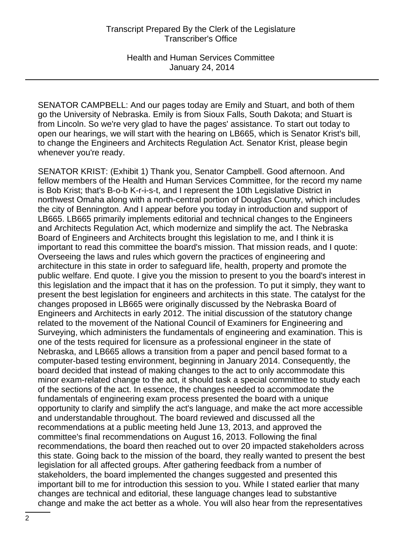SENATOR CAMPBELL: And our pages today are Emily and Stuart, and both of them go the University of Nebraska. Emily is from Sioux Falls, South Dakota; and Stuart is from Lincoln. So we're very glad to have the pages' assistance. To start out today to open our hearings, we will start with the hearing on LB665, which is Senator Krist's bill, to change the Engineers and Architects Regulation Act. Senator Krist, please begin whenever you're ready.

SENATOR KRIST: (Exhibit 1) Thank you, Senator Campbell. Good afternoon. And fellow members of the Health and Human Services Committee, for the record my name is Bob Krist; that's B-o-b K-r-i-s-t, and I represent the 10th Legislative District in northwest Omaha along with a north-central portion of Douglas County, which includes the city of Bennington. And I appear before you today in introduction and support of LB665. LB665 primarily implements editorial and technical changes to the Engineers and Architects Regulation Act, which modernize and simplify the act. The Nebraska Board of Engineers and Architects brought this legislation to me, and I think it is important to read this committee the board's mission. That mission reads, and I quote: Overseeing the laws and rules which govern the practices of engineering and architecture in this state in order to safeguard life, health, property and promote the public welfare. End quote. I give you the mission to present to you the board's interest in this legislation and the impact that it has on the profession. To put it simply, they want to present the best legislation for engineers and architects in this state. The catalyst for the changes proposed in LB665 were originally discussed by the Nebraska Board of Engineers and Architects in early 2012. The initial discussion of the statutory change related to the movement of the National Council of Examiners for Engineering and Surveying, which administers the fundamentals of engineering and examination. This is one of the tests required for licensure as a professional engineer in the state of Nebraska, and LB665 allows a transition from a paper and pencil based format to a computer-based testing environment, beginning in January 2014. Consequently, the board decided that instead of making changes to the act to only accommodate this minor exam-related change to the act, it should task a special committee to study each of the sections of the act. In essence, the changes needed to accommodate the fundamentals of engineering exam process presented the board with a unique opportunity to clarify and simplify the act's language, and make the act more accessible and understandable throughout. The board reviewed and discussed all the recommendations at a public meeting held June 13, 2013, and approved the committee's final recommendations on August 16, 2013. Following the final recommendations, the board then reached out to over 20 impacted stakeholders across this state. Going back to the mission of the board, they really wanted to present the best legislation for all affected groups. After gathering feedback from a number of stakeholders, the board implemented the changes suggested and presented this important bill to me for introduction this session to you. While I stated earlier that many changes are technical and editorial, these language changes lead to substantive change and make the act better as a whole. You will also hear from the representatives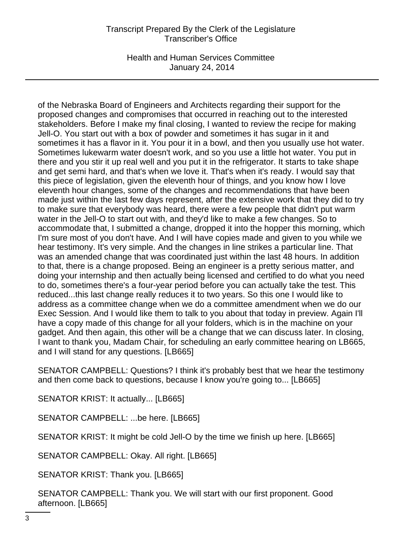Health and Human Services Committee January 24, 2014

of the Nebraska Board of Engineers and Architects regarding their support for the proposed changes and compromises that occurred in reaching out to the interested stakeholders. Before I make my final closing, I wanted to review the recipe for making Jell-O. You start out with a box of powder and sometimes it has sugar in it and sometimes it has a flavor in it. You pour it in a bowl, and then you usually use hot water. Sometimes lukewarm water doesn't work, and so you use a little hot water. You put in there and you stir it up real well and you put it in the refrigerator. It starts to take shape and get semi hard, and that's when we love it. That's when it's ready. I would say that this piece of legislation, given the eleventh hour of things, and you know how I love eleventh hour changes, some of the changes and recommendations that have been made just within the last few days represent, after the extensive work that they did to try to make sure that everybody was heard, there were a few people that didn't put warm water in the Jell-O to start out with, and they'd like to make a few changes. So to accommodate that, I submitted a change, dropped it into the hopper this morning, which I'm sure most of you don't have. And I will have copies made and given to you while we hear testimony. It's very simple. And the changes in line strikes a particular line. That was an amended change that was coordinated just within the last 48 hours. In addition to that, there is a change proposed. Being an engineer is a pretty serious matter, and doing your internship and then actually being licensed and certified to do what you need to do, sometimes there's a four-year period before you can actually take the test. This reduced...this last change really reduces it to two years. So this one I would like to address as a committee change when we do a committee amendment when we do our Exec Session. And I would like them to talk to you about that today in preview. Again I'll have a copy made of this change for all your folders, which is in the machine on your gadget. And then again, this other will be a change that we can discuss later. In closing, I want to thank you, Madam Chair, for scheduling an early committee hearing on LB665, and I will stand for any questions. [LB665]

SENATOR CAMPBELL: Questions? I think it's probably best that we hear the testimony and then come back to questions, because I know you're going to... [LB665]

SENATOR KRIST: It actually... [LB665]

SENATOR CAMPBELL: ...be here. [LB665]

SENATOR KRIST: It might be cold Jell-O by the time we finish up here. [LB665]

SENATOR CAMPBELL: Okay. All right. [LB665]

SENATOR KRIST: Thank you. [LB665]

SENATOR CAMPBELL: Thank you. We will start with our first proponent. Good afternoon. [LB665]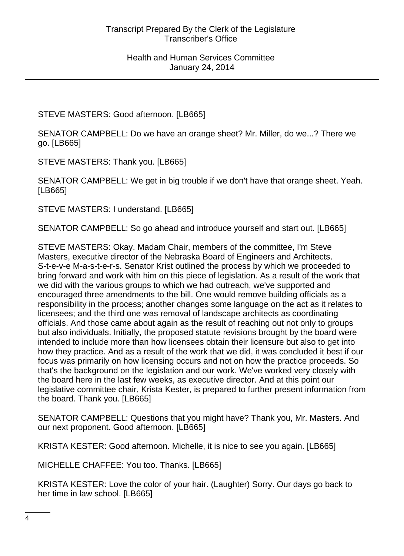STEVE MASTERS: Good afternoon. [LB665]

SENATOR CAMPBELL: Do we have an orange sheet? Mr. Miller, do we...? There we go. [LB665]

STEVE MASTERS: Thank you. [LB665]

SENATOR CAMPBELL: We get in big trouble if we don't have that orange sheet. Yeah. [LB665]

STEVE MASTERS: I understand. [LB665]

SENATOR CAMPBELL: So go ahead and introduce yourself and start out. [LB665]

STEVE MASTERS: Okay. Madam Chair, members of the committee, I'm Steve Masters, executive director of the Nebraska Board of Engineers and Architects. S-t-e-v-e M-a-s-t-e-r-s. Senator Krist outlined the process by which we proceeded to bring forward and work with him on this piece of legislation. As a result of the work that we did with the various groups to which we had outreach, we've supported and encouraged three amendments to the bill. One would remove building officials as a responsibility in the process; another changes some language on the act as it relates to licensees; and the third one was removal of landscape architects as coordinating officials. And those came about again as the result of reaching out not only to groups but also individuals. Initially, the proposed statute revisions brought by the board were intended to include more than how licensees obtain their licensure but also to get into how they practice. And as a result of the work that we did, it was concluded it best if our focus was primarily on how licensing occurs and not on how the practice proceeds. So that's the background on the legislation and our work. We've worked very closely with the board here in the last few weeks, as executive director. And at this point our legislative committee chair, Krista Kester, is prepared to further present information from the board. Thank you. [LB665]

SENATOR CAMPBELL: Questions that you might have? Thank you, Mr. Masters. And our next proponent. Good afternoon. [LB665]

KRISTA KESTER: Good afternoon. Michelle, it is nice to see you again. [LB665]

MICHELLE CHAFFEE: You too. Thanks. [LB665]

KRISTA KESTER: Love the color of your hair. (Laughter) Sorry. Our days go back to her time in law school. [LB665]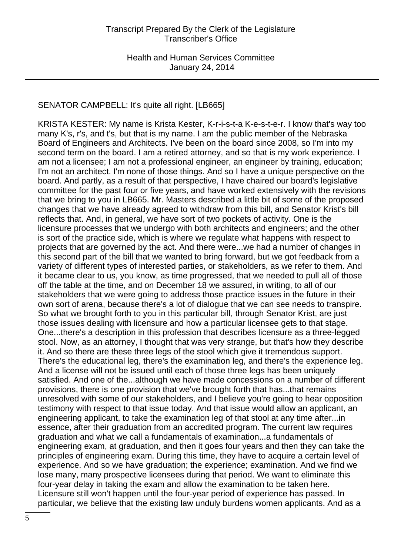# SENATOR CAMPBELL: It's quite all right. [LB665]

KRISTA KESTER: My name is Krista Kester, K-r-i-s-t-a K-e-s-t-e-r. I know that's way too many K's, r's, and t's, but that is my name. I am the public member of the Nebraska Board of Engineers and Architects. I've been on the board since 2008, so I'm into my second term on the board. I am a retired attorney, and so that is my work experience. I am not a licensee; I am not a professional engineer, an engineer by training, education; I'm not an architect. I'm none of those things. And so I have a unique perspective on the board. And partly, as a result of that perspective, I have chaired our board's legislative committee for the past four or five years, and have worked extensively with the revisions that we bring to you in LB665. Mr. Masters described a little bit of some of the proposed changes that we have already agreed to withdraw from this bill, and Senator Krist's bill reflects that. And, in general, we have sort of two pockets of activity. One is the licensure processes that we undergo with both architects and engineers; and the other is sort of the practice side, which is where we regulate what happens with respect to projects that are governed by the act. And there were...we had a number of changes in this second part of the bill that we wanted to bring forward, but we got feedback from a variety of different types of interested parties, or stakeholders, as we refer to them. And it became clear to us, you know, as time progressed, that we needed to pull all of those off the table at the time, and on December 18 we assured, in writing, to all of our stakeholders that we were going to address those practice issues in the future in their own sort of arena, because there's a lot of dialogue that we can see needs to transpire. So what we brought forth to you in this particular bill, through Senator Krist, are just those issues dealing with licensure and how a particular licensee gets to that stage. One...there's a description in this profession that describes licensure as a three-legged stool. Now, as an attorney, I thought that was very strange, but that's how they describe it. And so there are these three legs of the stool which give it tremendous support. There's the educational leg, there's the examination leg, and there's the experience leg. And a license will not be issued until each of those three legs has been uniquely satisfied. And one of the...although we have made concessions on a number of different provisions, there is one provision that we've brought forth that has...that remains unresolved with some of our stakeholders, and I believe you're going to hear opposition testimony with respect to that issue today. And that issue would allow an applicant, an engineering applicant, to take the examination leg of that stool at any time after...in essence, after their graduation from an accredited program. The current law requires graduation and what we call a fundamentals of examination...a fundamentals of engineering exam, at graduation, and then it goes four years and then they can take the principles of engineering exam. During this time, they have to acquire a certain level of experience. And so we have graduation; the experience; examination. And we find we lose many, many prospective licensees during that period. We want to eliminate this four-year delay in taking the exam and allow the examination to be taken here. Licensure still won't happen until the four-year period of experience has passed. In particular, we believe that the existing law unduly burdens women applicants. And as a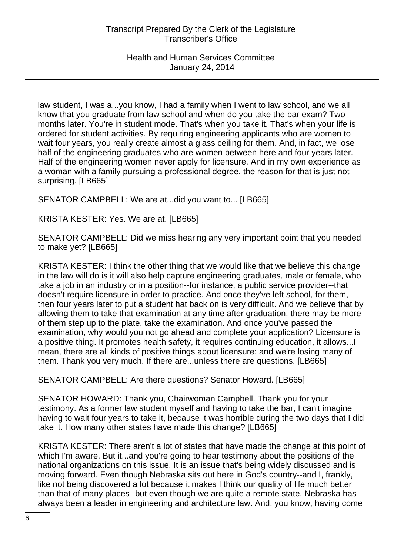law student, I was a...you know, I had a family when I went to law school, and we all know that you graduate from law school and when do you take the bar exam? Two months later. You're in student mode. That's when you take it. That's when your life is ordered for student activities. By requiring engineering applicants who are women to wait four years, you really create almost a glass ceiling for them. And, in fact, we lose half of the engineering graduates who are women between here and four years later. Half of the engineering women never apply for licensure. And in my own experience as a woman with a family pursuing a professional degree, the reason for that is just not surprising. [LB665]

SENATOR CAMPBELL: We are at...did you want to... [LB665]

KRISTA KESTER: Yes. We are at. [LB665]

SENATOR CAMPBELL: Did we miss hearing any very important point that you needed to make yet? [LB665]

KRISTA KESTER: I think the other thing that we would like that we believe this change in the law will do is it will also help capture engineering graduates, male or female, who take a job in an industry or in a position--for instance, a public service provider--that doesn't require licensure in order to practice. And once they've left school, for them, then four years later to put a student hat back on is very difficult. And we believe that by allowing them to take that examination at any time after graduation, there may be more of them step up to the plate, take the examination. And once you've passed the examination, why would you not go ahead and complete your application? Licensure is a positive thing. It promotes health safety, it requires continuing education, it allows...I mean, there are all kinds of positive things about licensure; and we're losing many of them. Thank you very much. If there are...unless there are questions. [LB665]

SENATOR CAMPBELL: Are there questions? Senator Howard. [LB665]

SENATOR HOWARD: Thank you, Chairwoman Campbell. Thank you for your testimony. As a former law student myself and having to take the bar, I can't imagine having to wait four years to take it, because it was horrible during the two days that I did take it. How many other states have made this change? [LB665]

KRISTA KESTER: There aren't a lot of states that have made the change at this point of which I'm aware. But it...and you're going to hear testimony about the positions of the national organizations on this issue. It is an issue that's being widely discussed and is moving forward. Even though Nebraska sits out here in God's country--and I, frankly, like not being discovered a lot because it makes I think our quality of life much better than that of many places--but even though we are quite a remote state, Nebraska has always been a leader in engineering and architecture law. And, you know, having come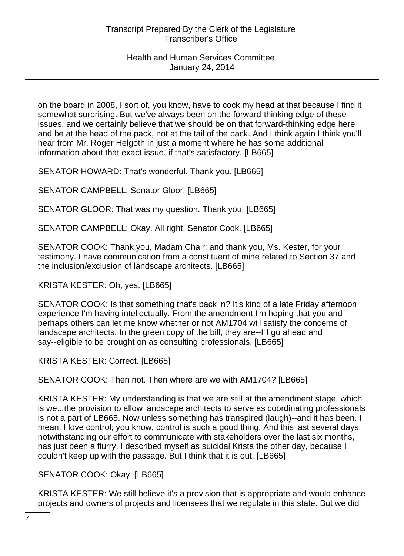on the board in 2008, I sort of, you know, have to cock my head at that because I find it somewhat surprising. But we've always been on the forward-thinking edge of these issues, and we certainly believe that we should be on that forward-thinking edge here and be at the head of the pack, not at the tail of the pack. And I think again I think you'll hear from Mr. Roger Helgoth in just a moment where he has some additional information about that exact issue, if that's satisfactory. [LB665]

SENATOR HOWARD: That's wonderful. Thank you. [LB665]

SENATOR CAMPBELL: Senator Gloor. [LB665]

SENATOR GLOOR: That was my question. Thank you. [LB665]

SENATOR CAMPBELL: Okay. All right, Senator Cook. [LB665]

SENATOR COOK: Thank you, Madam Chair; and thank you, Ms. Kester, for your testimony. I have communication from a constituent of mine related to Section 37 and the inclusion/exclusion of landscape architects. [LB665]

KRISTA KESTER: Oh, yes. [LB665]

SENATOR COOK: Is that something that's back in? It's kind of a late Friday afternoon experience I'm having intellectually. From the amendment I'm hoping that you and perhaps others can let me know whether or not AM1704 will satisfy the concerns of landscape architects. In the green copy of the bill, they are--I'll go ahead and say--eligible to be brought on as consulting professionals. [LB665]

KRISTA KESTER: Correct. [LB665]

SENATOR COOK: Then not. Then where are we with AM1704? [LB665]

KRISTA KESTER: My understanding is that we are still at the amendment stage, which is we...the provision to allow landscape architects to serve as coordinating professionals is not a part of LB665. Now unless something has transpired (laugh)--and it has been. I mean, I love control; you know, control is such a good thing. And this last several days, notwithstanding our effort to communicate with stakeholders over the last six months, has just been a flurry. I described myself as suicidal Krista the other day, because I couldn't keep up with the passage. But I think that it is out. [LB665]

SENATOR COOK: Okay. [LB665]

KRISTA KESTER: We still believe it's a provision that is appropriate and would enhance projects and owners of projects and licensees that we regulate in this state. But we did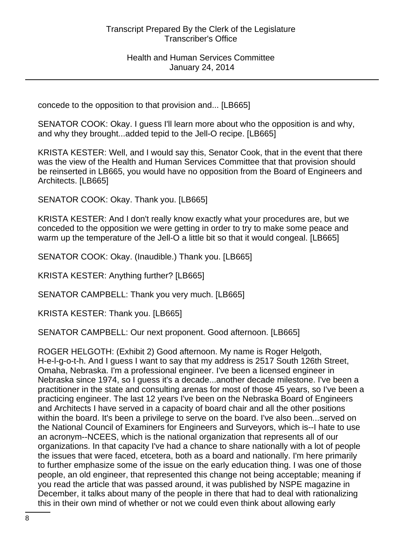concede to the opposition to that provision and... [LB665]

SENATOR COOK: Okay. I guess I'll learn more about who the opposition is and why, and why they brought...added tepid to the Jell-O recipe. [LB665]

KRISTA KESTER: Well, and I would say this, Senator Cook, that in the event that there was the view of the Health and Human Services Committee that that provision should be reinserted in LB665, you would have no opposition from the Board of Engineers and Architects. [LB665]

SENATOR COOK: Okay. Thank you. [LB665]

KRISTA KESTER: And I don't really know exactly what your procedures are, but we conceded to the opposition we were getting in order to try to make some peace and warm up the temperature of the Jell-O a little bit so that it would congeal. [LB665]

SENATOR COOK: Okay. (Inaudible.) Thank you. [LB665]

KRISTA KESTER: Anything further? [LB665]

SENATOR CAMPBELL: Thank you very much. [LB665]

KRISTA KESTER: Thank you. [LB665]

SENATOR CAMPBELL: Our next proponent. Good afternoon. [LB665]

ROGER HELGOTH: (Exhibit 2) Good afternoon. My name is Roger Helgoth, H-e-l-g-o-t-h. And I guess I want to say that my address is 2517 South 126th Street, Omaha, Nebraska. I'm a professional engineer. I've been a licensed engineer in Nebraska since 1974, so I guess it's a decade...another decade milestone. I've been a practitioner in the state and consulting arenas for most of those 45 years, so I've been a practicing engineer. The last 12 years I've been on the Nebraska Board of Engineers and Architects I have served in a capacity of board chair and all the other positions within the board. It's been a privilege to serve on the board. I've also been...served on the National Council of Examiners for Engineers and Surveyors, which is--I hate to use an acronym--NCEES, which is the national organization that represents all of our organizations. In that capacity I've had a chance to share nationally with a lot of people the issues that were faced, etcetera, both as a board and nationally. I'm here primarily to further emphasize some of the issue on the early education thing. I was one of those people, an old engineer, that represented this change not being acceptable; meaning if you read the article that was passed around, it was published by NSPE magazine in December, it talks about many of the people in there that had to deal with rationalizing this in their own mind of whether or not we could even think about allowing early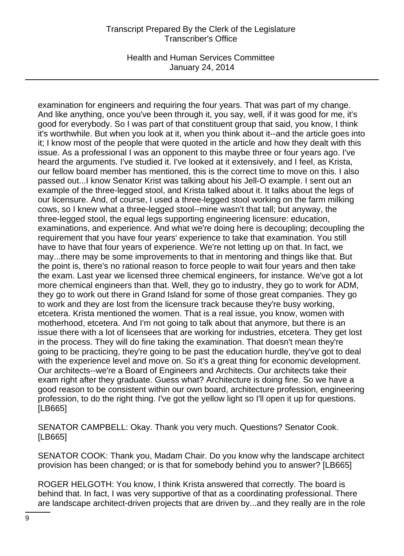Health and Human Services Committee January 24, 2014

examination for engineers and requiring the four years. That was part of my change. And like anything, once you've been through it, you say, well, if it was good for me, it's good for everybody. So I was part of that constituent group that said, you know, I think it's worthwhile. But when you look at it, when you think about it--and the article goes into it; I know most of the people that were quoted in the article and how they dealt with this issue. As a professional I was an opponent to this maybe three or four years ago. I've heard the arguments. I've studied it. I've looked at it extensively, and I feel, as Krista, our fellow board member has mentioned, this is the correct time to move on this. I also passed out...I know Senator Krist was talking about his Jell-O example. I sent out an example of the three-legged stool, and Krista talked about it. It talks about the legs of our licensure. And, of course, I used a three-legged stool working on the farm milking cows, so I knew what a three-legged stool--mine wasn't that tall; but anyway, the three-legged stool, the equal legs supporting engineering licensure: education, examinations, and experience. And what we're doing here is decoupling; decoupling the requirement that you have four years' experience to take that examination. You still have to have that four years of experience. We're not letting up on that. In fact, we may...there may be some improvements to that in mentoring and things like that. But the point is, there's no rational reason to force people to wait four years and then take the exam. Last year we licensed three chemical engineers, for instance. We've got a lot more chemical engineers than that. Well, they go to industry, they go to work for ADM, they go to work out there in Grand Island for some of those great companies. They go to work and they are lost from the licensure track because they're busy working, etcetera. Krista mentioned the women. That is a real issue, you know, women with motherhood, etcetera. And I'm not going to talk about that anymore, but there is an issue there with a lot of licensees that are working for industries, etcetera. They get lost in the process. They will do fine taking the examination. That doesn't mean they're going to be practicing, they're going to be past the education hurdle, they've got to deal with the experience level and move on. So it's a great thing for economic development. Our architects--we're a Board of Engineers and Architects. Our architects take their exam right after they graduate. Guess what? Architecture is doing fine. So we have a good reason to be consistent within our own board, architecture profession, engineering profession, to do the right thing. I've got the yellow light so I'll open it up for questions. [LB665]

SENATOR CAMPBELL: Okay. Thank you very much. Questions? Senator Cook. [LB665]

SENATOR COOK: Thank you, Madam Chair. Do you know why the landscape architect provision has been changed; or is that for somebody behind you to answer? [LB665]

ROGER HELGOTH: You know, I think Krista answered that correctly. The board is behind that. In fact, I was very supportive of that as a coordinating professional. There are landscape architect-driven projects that are driven by...and they really are in the role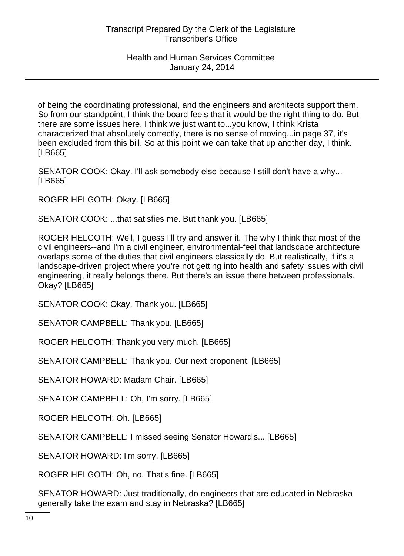of being the coordinating professional, and the engineers and architects support them. So from our standpoint, I think the board feels that it would be the right thing to do. But there are some issues here. I think we just want to...you know, I think Krista characterized that absolutely correctly, there is no sense of moving...in page 37, it's been excluded from this bill. So at this point we can take that up another day, I think. [LB665]

SENATOR COOK: Okay. I'll ask somebody else because I still don't have a why... [LB665]

ROGER HELGOTH: Okay. [LB665]

SENATOR COOK: ...that satisfies me. But thank you. [LB665]

ROGER HELGOTH: Well, I guess I'll try and answer it. The why I think that most of the civil engineers--and I'm a civil engineer, environmental-feel that landscape architecture overlaps some of the duties that civil engineers classically do. But realistically, if it's a landscape-driven project where you're not getting into health and safety issues with civil engineering, it really belongs there. But there's an issue there between professionals. Okay? [LB665]

SENATOR COOK: Okay. Thank you. [LB665]

SENATOR CAMPBELL: Thank you. [LB665]

ROGER HELGOTH: Thank you very much. [LB665]

SENATOR CAMPBELL: Thank you. Our next proponent. [LB665]

SENATOR HOWARD: Madam Chair. [LB665]

SENATOR CAMPBELL: Oh, I'm sorry. [LB665]

ROGER HELGOTH: Oh. [LB665]

SENATOR CAMPBELL: I missed seeing Senator Howard's... [LB665]

SENATOR HOWARD: I'm sorry. [LB665]

ROGER HELGOTH: Oh, no. That's fine. [LB665]

SENATOR HOWARD: Just traditionally, do engineers that are educated in Nebraska generally take the exam and stay in Nebraska? [LB665]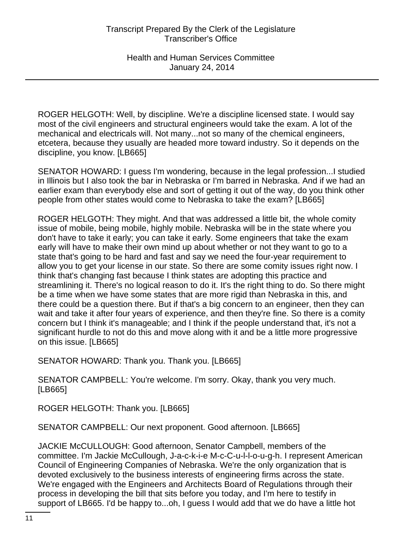ROGER HELGOTH: Well, by discipline. We're a discipline licensed state. I would say most of the civil engineers and structural engineers would take the exam. A lot of the mechanical and electricals will. Not many...not so many of the chemical engineers, etcetera, because they usually are headed more toward industry. So it depends on the discipline, you know. [LB665]

SENATOR HOWARD: I guess I'm wondering, because in the legal profession...I studied in Illinois but I also took the bar in Nebraska or I'm barred in Nebraska. And if we had an earlier exam than everybody else and sort of getting it out of the way, do you think other people from other states would come to Nebraska to take the exam? [LB665]

ROGER HELGOTH: They might. And that was addressed a little bit, the whole comity issue of mobile, being mobile, highly mobile. Nebraska will be in the state where you don't have to take it early; you can take it early. Some engineers that take the exam early will have to make their own mind up about whether or not they want to go to a state that's going to be hard and fast and say we need the four-year requirement to allow you to get your license in our state. So there are some comity issues right now. I think that's changing fast because I think states are adopting this practice and streamlining it. There's no logical reason to do it. It's the right thing to do. So there might be a time when we have some states that are more rigid than Nebraska in this, and there could be a question there. But if that's a big concern to an engineer, then they can wait and take it after four years of experience, and then they're fine. So there is a comity concern but I think it's manageable; and I think if the people understand that, it's not a significant hurdle to not do this and move along with it and be a little more progressive on this issue. [LB665]

SENATOR HOWARD: Thank you. Thank you. [LB665]

SENATOR CAMPBELL: You're welcome. I'm sorry. Okay, thank you very much. [LB665]

ROGER HELGOTH: Thank you. [LB665]

SENATOR CAMPBELL: Our next proponent. Good afternoon. [LB665]

JACKIE McCULLOUGH: Good afternoon, Senator Campbell, members of the committee. I'm Jackie McCullough, J-a-c-k-i-e M-c-C-u-l-l-o-u-g-h. I represent American Council of Engineering Companies of Nebraska. We're the only organization that is devoted exclusively to the business interests of engineering firms across the state. We're engaged with the Engineers and Architects Board of Regulations through their process in developing the bill that sits before you today, and I'm here to testify in support of LB665. I'd be happy to...oh, I guess I would add that we do have a little hot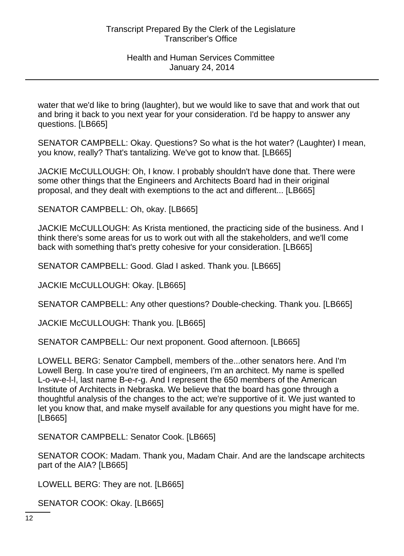water that we'd like to bring (laughter), but we would like to save that and work that out and bring it back to you next year for your consideration. I'd be happy to answer any questions. [LB665]

SENATOR CAMPBELL: Okay. Questions? So what is the hot water? (Laughter) I mean, you know, really? That's tantalizing. We've got to know that. [LB665]

JACKIE McCULLOUGH: Oh, I know. I probably shouldn't have done that. There were some other things that the Engineers and Architects Board had in their original proposal, and they dealt with exemptions to the act and different... [LB665]

SENATOR CAMPBELL: Oh, okay. [LB665]

JACKIE McCULLOUGH: As Krista mentioned, the practicing side of the business. And I think there's some areas for us to work out with all the stakeholders, and we'll come back with something that's pretty cohesive for your consideration. [LB665]

SENATOR CAMPBELL: Good. Glad I asked. Thank you. [LB665]

JACKIE McCULLOUGH: Okay. [LB665]

SENATOR CAMPBELL: Any other questions? Double-checking. Thank you. [LB665]

JACKIE McCULLOUGH: Thank you. [LB665]

SENATOR CAMPBELL: Our next proponent. Good afternoon. [LB665]

LOWELL BERG: Senator Campbell, members of the...other senators here. And I'm Lowell Berg. In case you're tired of engineers, I'm an architect. My name is spelled L-o-w-e-l-l, last name B-e-r-g. And I represent the 650 members of the American Institute of Architects in Nebraska. We believe that the board has gone through a thoughtful analysis of the changes to the act; we're supportive of it. We just wanted to let you know that, and make myself available for any questions you might have for me. [LB665]

SENATOR CAMPBELL: Senator Cook. [LB665]

SENATOR COOK: Madam. Thank you, Madam Chair. And are the landscape architects part of the AIA? [LB665]

LOWELL BERG: They are not. [LB665]

SENATOR COOK: Okay. [LB665]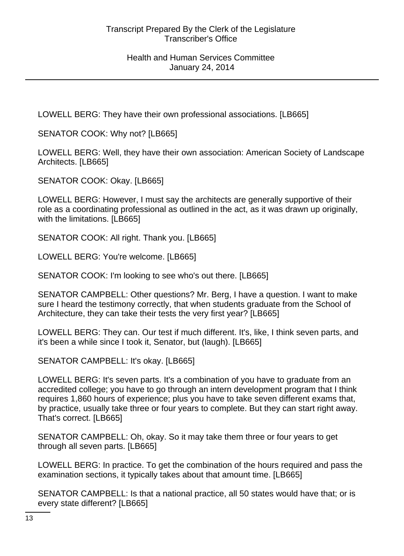LOWELL BERG: They have their own professional associations. [LB665]

SENATOR COOK: Why not? [LB665]

LOWELL BERG: Well, they have their own association: American Society of Landscape Architects. [LB665]

SENATOR COOK: Okay. [LB665]

LOWELL BERG: However, I must say the architects are generally supportive of their role as a coordinating professional as outlined in the act, as it was drawn up originally, with the limitations. [LB665]

SENATOR COOK: All right. Thank you. [LB665]

LOWELL BERG: You're welcome. [LB665]

SENATOR COOK: I'm looking to see who's out there. [LB665]

SENATOR CAMPBELL: Other questions? Mr. Berg, I have a question. I want to make sure I heard the testimony correctly, that when students graduate from the School of Architecture, they can take their tests the very first year? [LB665]

LOWELL BERG: They can. Our test if much different. It's, like, I think seven parts, and it's been a while since I took it, Senator, but (laugh). [LB665]

SENATOR CAMPBELL: It's okay. [LB665]

LOWELL BERG: It's seven parts. It's a combination of you have to graduate from an accredited college; you have to go through an intern development program that I think requires 1,860 hours of experience; plus you have to take seven different exams that, by practice, usually take three or four years to complete. But they can start right away. That's correct. [LB665]

SENATOR CAMPBELL: Oh, okay. So it may take them three or four years to get through all seven parts. [LB665]

LOWELL BERG: In practice. To get the combination of the hours required and pass the examination sections, it typically takes about that amount time. [LB665]

SENATOR CAMPBELL: Is that a national practice, all 50 states would have that; or is every state different? [LB665]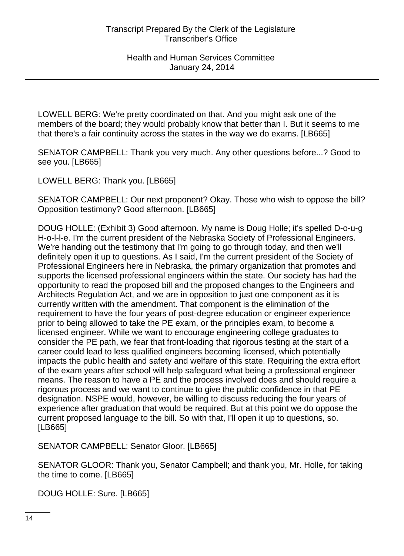LOWELL BERG: We're pretty coordinated on that. And you might ask one of the members of the board; they would probably know that better than I. But it seems to me that there's a fair continuity across the states in the way we do exams. [LB665]

SENATOR CAMPBELL: Thank you very much. Any other questions before...? Good to see you. [LB665]

LOWELL BERG: Thank you. [LB665]

SENATOR CAMPBELL: Our next proponent? Okay. Those who wish to oppose the bill? Opposition testimony? Good afternoon. [LB665]

DOUG HOLLE: (Exhibit 3) Good afternoon. My name is Doug Holle; it's spelled D-o-u-g H-o-l-l-e. I'm the current president of the Nebraska Society of Professional Engineers. We're handing out the testimony that I'm going to go through today, and then we'll definitely open it up to questions. As I said, I'm the current president of the Society of Professional Engineers here in Nebraska, the primary organization that promotes and supports the licensed professional engineers within the state. Our society has had the opportunity to read the proposed bill and the proposed changes to the Engineers and Architects Regulation Act, and we are in opposition to just one component as it is currently written with the amendment. That component is the elimination of the requirement to have the four years of post-degree education or engineer experience prior to being allowed to take the PE exam, or the principles exam, to become a licensed engineer. While we want to encourage engineering college graduates to consider the PE path, we fear that front-loading that rigorous testing at the start of a career could lead to less qualified engineers becoming licensed, which potentially impacts the public health and safety and welfare of this state. Requiring the extra effort of the exam years after school will help safeguard what being a professional engineer means. The reason to have a PE and the process involved does and should require a rigorous process and we want to continue to give the public confidence in that PE designation. NSPE would, however, be willing to discuss reducing the four years of experience after graduation that would be required. But at this point we do oppose the current proposed language to the bill. So with that, I'll open it up to questions, so. [LB665]

SENATOR CAMPBELL: Senator Gloor. [LB665]

SENATOR GLOOR: Thank you, Senator Campbell; and thank you, Mr. Holle, for taking the time to come. [LB665]

DOUG HOLLE: Sure. [LB665]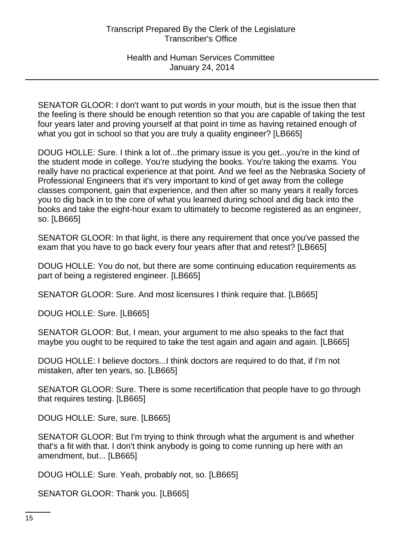SENATOR GLOOR: I don't want to put words in your mouth, but is the issue then that the feeling is there should be enough retention so that you are capable of taking the test four years later and proving yourself at that point in time as having retained enough of what you got in school so that you are truly a quality engineer? [LB665]

DOUG HOLLE: Sure. I think a lot of...the primary issue is you get...you're in the kind of the student mode in college. You're studying the books. You're taking the exams. You really have no practical experience at that point. And we feel as the Nebraska Society of Professional Engineers that it's very important to kind of get away from the college classes component, gain that experience, and then after so many years it really forces you to dig back in to the core of what you learned during school and dig back into the books and take the eight-hour exam to ultimately to become registered as an engineer, so. [LB665]

SENATOR GLOOR: In that light, is there any requirement that once you've passed the exam that you have to go back every four years after that and retest? [LB665]

DOUG HOLLE: You do not, but there are some continuing education requirements as part of being a registered engineer. [LB665]

SENATOR GLOOR: Sure. And most licensures I think require that. [LB665]

DOUG HOLLE: Sure. [LB665]

SENATOR GLOOR: But, I mean, your argument to me also speaks to the fact that maybe you ought to be required to take the test again and again and again. [LB665]

DOUG HOLLE: I believe doctors...I think doctors are required to do that, if I'm not mistaken, after ten years, so. [LB665]

SENATOR GLOOR: Sure. There is some recertification that people have to go through that requires testing. [LB665]

DOUG HOLLE: Sure, sure. [LB665]

SENATOR GLOOR: But I'm trying to think through what the argument is and whether that's a fit with that. I don't think anybody is going to come running up here with an amendment, but... [LB665]

DOUG HOLLE: Sure. Yeah, probably not, so. [LB665]

SENATOR GLOOR: Thank you. [LB665]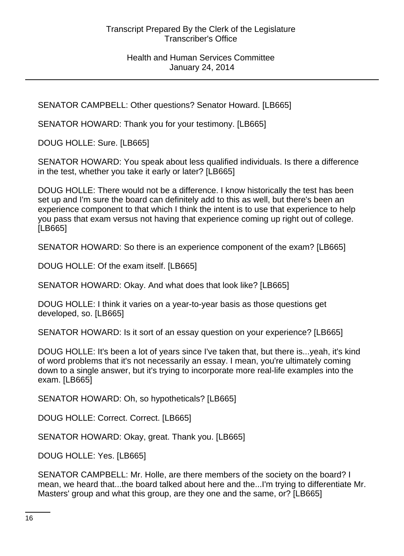SENATOR CAMPBELL: Other questions? Senator Howard. [LB665]

SENATOR HOWARD: Thank you for your testimony. [LB665]

DOUG HOLLE: Sure. [LB665]

SENATOR HOWARD: You speak about less qualified individuals. Is there a difference in the test, whether you take it early or later? [LB665]

DOUG HOLLE: There would not be a difference. I know historically the test has been set up and I'm sure the board can definitely add to this as well, but there's been an experience component to that which I think the intent is to use that experience to help you pass that exam versus not having that experience coming up right out of college. [LB665]

SENATOR HOWARD: So there is an experience component of the exam? [LB665]

DOUG HOLLE: Of the exam itself. [LB665]

SENATOR HOWARD: Okay. And what does that look like? [LB665]

DOUG HOLLE: I think it varies on a year-to-year basis as those questions get developed, so. [LB665]

SENATOR HOWARD: Is it sort of an essay question on your experience? [LB665]

DOUG HOLLE: It's been a lot of years since I've taken that, but there is...yeah, it's kind of word problems that it's not necessarily an essay. I mean, you're ultimately coming down to a single answer, but it's trying to incorporate more real-life examples into the exam. [LB665]

SENATOR HOWARD: Oh, so hypotheticals? [LB665]

DOUG HOLLE: Correct. Correct. [LB665]

SENATOR HOWARD: Okay, great. Thank you. [LB665]

DOUG HOLLE: Yes. [LB665]

SENATOR CAMPBELL: Mr. Holle, are there members of the society on the board? I mean, we heard that...the board talked about here and the...I'm trying to differentiate Mr. Masters' group and what this group, are they one and the same, or? [LB665]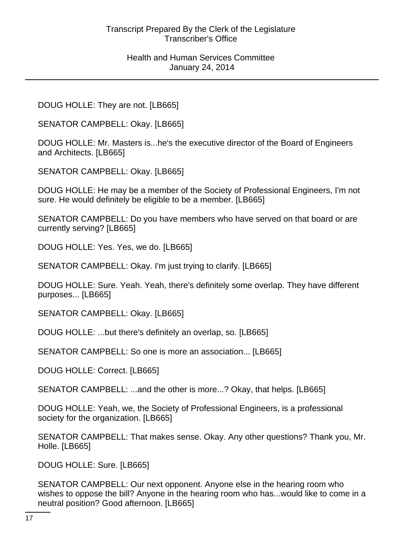#### Health and Human Services Committee January 24, 2014

DOUG HOLLE: They are not. [LB665]

SENATOR CAMPBELL: Okay. [LB665]

DOUG HOLLE: Mr. Masters is...he's the executive director of the Board of Engineers and Architects. [LB665]

SENATOR CAMPBELL: Okay. [LB665]

DOUG HOLLE: He may be a member of the Society of Professional Engineers, I'm not sure. He would definitely be eligible to be a member. [LB665]

SENATOR CAMPBELL: Do you have members who have served on that board or are currently serving? [LB665]

DOUG HOLLE: Yes. Yes, we do. [LB665]

SENATOR CAMPBELL: Okay. I'm just trying to clarify. [LB665]

DOUG HOLLE: Sure. Yeah. Yeah, there's definitely some overlap. They have different purposes... [LB665]

SENATOR CAMPBELL: Okay. [LB665]

DOUG HOLLE: ...but there's definitely an overlap, so. [LB665]

SENATOR CAMPBELL: So one is more an association... [LB665]

DOUG HOLLE: Correct. [LB665]

SENATOR CAMPBELL: ...and the other is more...? Okay, that helps. [LB665]

DOUG HOLLE: Yeah, we, the Society of Professional Engineers, is a professional society for the organization. [LB665]

SENATOR CAMPBELL: That makes sense. Okay. Any other questions? Thank you, Mr. Holle. [LB665]

DOUG HOLLE: Sure. [LB665]

SENATOR CAMPBELL: Our next opponent. Anyone else in the hearing room who wishes to oppose the bill? Anyone in the hearing room who has...would like to come in a neutral position? Good afternoon. [LB665]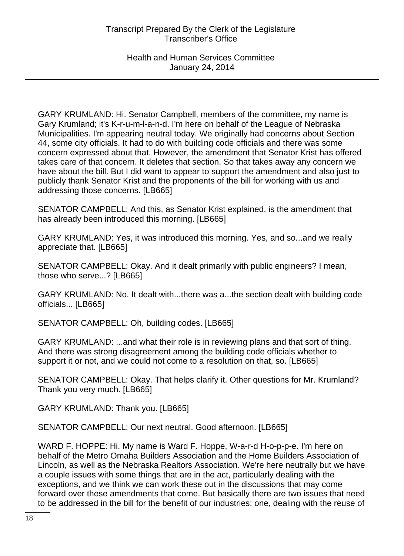GARY KRUMLAND: Hi. Senator Campbell, members of the committee, my name is Gary Krumland; it's K-r-u-m-l-a-n-d. I'm here on behalf of the League of Nebraska Municipalities. I'm appearing neutral today. We originally had concerns about Section 44, some city officials. It had to do with building code officials and there was some concern expressed about that. However, the amendment that Senator Krist has offered takes care of that concern. It deletes that section. So that takes away any concern we have about the bill. But I did want to appear to support the amendment and also just to publicly thank Senator Krist and the proponents of the bill for working with us and addressing those concerns. [LB665]

SENATOR CAMPBELL: And this, as Senator Krist explained, is the amendment that has already been introduced this morning. [LB665]

GARY KRUMLAND: Yes, it was introduced this morning. Yes, and so...and we really appreciate that. [LB665]

SENATOR CAMPBELL: Okay. And it dealt primarily with public engineers? I mean, those who serve...? [LB665]

GARY KRUMLAND: No. It dealt with...there was a...the section dealt with building code officials... [LB665]

SENATOR CAMPBELL: Oh, building codes. [LB665]

GARY KRUMLAND: ...and what their role is in reviewing plans and that sort of thing. And there was strong disagreement among the building code officials whether to support it or not, and we could not come to a resolution on that, so. [LB665]

SENATOR CAMPBELL: Okay. That helps clarify it. Other questions for Mr. Krumland? Thank you very much. [LB665]

GARY KRUMLAND: Thank you. [LB665]

SENATOR CAMPBELL: Our next neutral. Good afternoon. [LB665]

WARD F. HOPPE: Hi. My name is Ward F. Hoppe, W-a-r-d H-o-p-p-e. I'm here on behalf of the Metro Omaha Builders Association and the Home Builders Association of Lincoln, as well as the Nebraska Realtors Association. We're here neutrally but we have a couple issues with some things that are in the act, particularly dealing with the exceptions, and we think we can work these out in the discussions that may come forward over these amendments that come. But basically there are two issues that need to be addressed in the bill for the benefit of our industries: one, dealing with the reuse of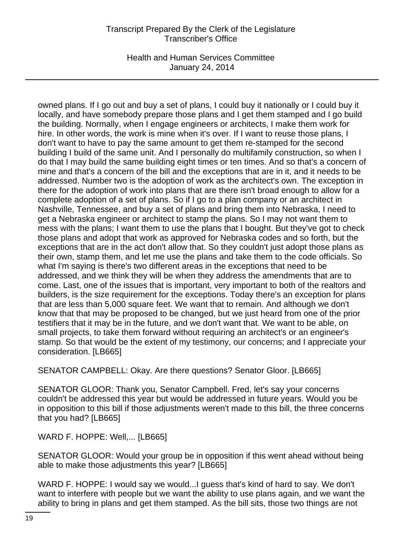Health and Human Services Committee January 24, 2014

owned plans. If I go out and buy a set of plans, I could buy it nationally or I could buy it locally, and have somebody prepare those plans and I get them stamped and I go build the building. Normally, when I engage engineers or architects, I make them work for hire. In other words, the work is mine when it's over. If I want to reuse those plans, I don't want to have to pay the same amount to get them re-stamped for the second building I build of the same unit. And I personally do multifamily construction, so when I do that I may build the same building eight times or ten times. And so that's a concern of mine and that's a concern of the bill and the exceptions that are in it, and it needs to be addressed. Number two is the adoption of work as the architect's own. The exception in there for the adoption of work into plans that are there isn't broad enough to allow for a complete adoption of a set of plans. So if I go to a plan company or an architect in Nashville, Tennessee, and buy a set of plans and bring them into Nebraska, I need to get a Nebraska engineer or architect to stamp the plans. So I may not want them to mess with the plans; I want them to use the plans that I bought. But they've got to check those plans and adopt that work as approved for Nebraska codes and so forth, but the exceptions that are in the act don't allow that. So they couldn't just adopt those plans as their own, stamp them, and let me use the plans and take them to the code officials. So what I'm saying is there's two different areas in the exceptions that need to be addressed, and we think they will be when they address the amendments that are to come. Last, one of the issues that is important, very important to both of the realtors and builders, is the size requirement for the exceptions. Today there's an exception for plans that are less than 5,000 square feet. We want that to remain. And although we don't know that that may be proposed to be changed, but we just heard from one of the prior testifiers that it may be in the future, and we don't want that. We want to be able, on small projects, to take them forward without requiring an architect's or an engineer's stamp. So that would be the extent of my testimony, our concerns; and I appreciate your consideration. [LB665]

SENATOR CAMPBELL: Okay. Are there questions? Senator Gloor. [LB665]

SENATOR GLOOR: Thank you, Senator Campbell. Fred, let's say your concerns couldn't be addressed this year but would be addressed in future years. Would you be in opposition to this bill if those adjustments weren't made to this bill, the three concerns that you had? [LB665]

WARD F. HOPPE: Well,... [LB665]

SENATOR GLOOR: Would your group be in opposition if this went ahead without being able to make those adjustments this year? [LB665]

WARD F. HOPPE: I would say we would...I guess that's kind of hard to say. We don't want to interfere with people but we want the ability to use plans again, and we want the ability to bring in plans and get them stamped. As the bill sits, those two things are not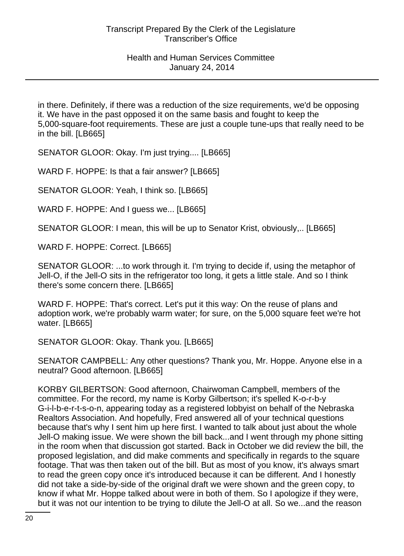in there. Definitely, if there was a reduction of the size requirements, we'd be opposing it. We have in the past opposed it on the same basis and fought to keep the 5,000-square-foot requirements. These are just a couple tune-ups that really need to be in the bill. [LB665]

SENATOR GLOOR: Okay. I'm just trying.... [LB665]

WARD F. HOPPE: Is that a fair answer? [LB665]

SENATOR GLOOR: Yeah, I think so. [LB665]

WARD F. HOPPE: And I guess we... [LB665]

SENATOR GLOOR: I mean, this will be up to Senator Krist, obviously,.. [LB665]

WARD F. HOPPE: Correct. [LB665]

SENATOR GLOOR: ...to work through it. I'm trying to decide if, using the metaphor of Jell-O, if the Jell-O sits in the refrigerator too long, it gets a little stale. And so I think there's some concern there. [LB665]

WARD F. HOPPE: That's correct. Let's put it this way: On the reuse of plans and adoption work, we're probably warm water; for sure, on the 5,000 square feet we're hot water. [LB665]

SENATOR GLOOR: Okay. Thank you. [LB665]

SENATOR CAMPBELL: Any other questions? Thank you, Mr. Hoppe. Anyone else in a neutral? Good afternoon. [LB665]

KORBY GILBERTSON: Good afternoon, Chairwoman Campbell, members of the committee. For the record, my name is Korby Gilbertson; it's spelled K-o-r-b-y G-i-l-b-e-r-t-s-o-n, appearing today as a registered lobbyist on behalf of the Nebraska Realtors Association. And hopefully, Fred answered all of your technical questions because that's why I sent him up here first. I wanted to talk about just about the whole Jell-O making issue. We were shown the bill back...and I went through my phone sitting in the room when that discussion got started. Back in October we did review the bill, the proposed legislation, and did make comments and specifically in regards to the square footage. That was then taken out of the bill. But as most of you know, it's always smart to read the green copy once it's introduced because it can be different. And I honestly did not take a side-by-side of the original draft we were shown and the green copy, to know if what Mr. Hoppe talked about were in both of them. So I apologize if they were, but it was not our intention to be trying to dilute the Jell-O at all. So we...and the reason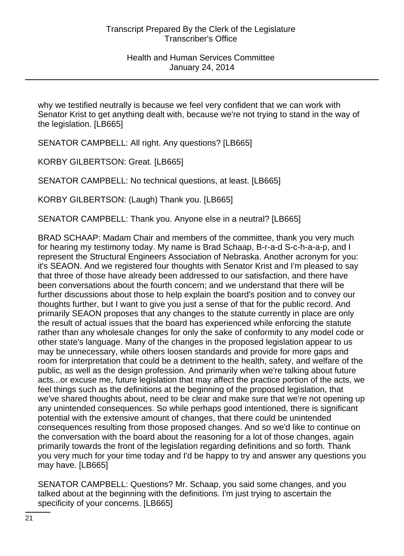why we testified neutrally is because we feel very confident that we can work with Senator Krist to get anything dealt with, because we're not trying to stand in the way of the legislation. [LB665]

SENATOR CAMPBELL: All right. Any questions? [LB665]

KORBY GILBERTSON: Great. [LB665]

SENATOR CAMPBELL: No technical questions, at least. [LB665]

KORBY GILBERTSON: (Laugh) Thank you. [LB665]

SENATOR CAMPBELL: Thank you. Anyone else in a neutral? [LB665]

BRAD SCHAAP: Madam Chair and members of the committee, thank you very much for hearing my testimony today. My name is Brad Schaap, B-r-a-d S-c-h-a-a-p, and I represent the Structural Engineers Association of Nebraska. Another acronym for you: it's SEAON. And we registered four thoughts with Senator Krist and I'm pleased to say that three of those have already been addressed to our satisfaction, and there have been conversations about the fourth concern; and we understand that there will be further discussions about those to help explain the board's position and to convey our thoughts further, but I want to give you just a sense of that for the public record. And primarily SEAON proposes that any changes to the statute currently in place are only the result of actual issues that the board has experienced while enforcing the statute rather than any wholesale changes for only the sake of conformity to any model code or other state's language. Many of the changes in the proposed legislation appear to us may be unnecessary, while others loosen standards and provide for more gaps and room for interpretation that could be a detriment to the health, safety, and welfare of the public, as well as the design profession. And primarily when we're talking about future acts...or excuse me, future legislation that may affect the practice portion of the acts, we feel things such as the definitions at the beginning of the proposed legislation, that we've shared thoughts about, need to be clear and make sure that we're not opening up any unintended consequences. So while perhaps good intentioned, there is significant potential with the extensive amount of changes, that there could be unintended consequences resulting from those proposed changes. And so we'd like to continue on the conversation with the board about the reasoning for a lot of those changes, again primarily towards the front of the legislation regarding definitions and so forth. Thank you very much for your time today and I'd be happy to try and answer any questions you may have. [LB665]

SENATOR CAMPBELL: Questions? Mr. Schaap, you said some changes, and you talked about at the beginning with the definitions. I'm just trying to ascertain the specificity of your concerns. [LB665]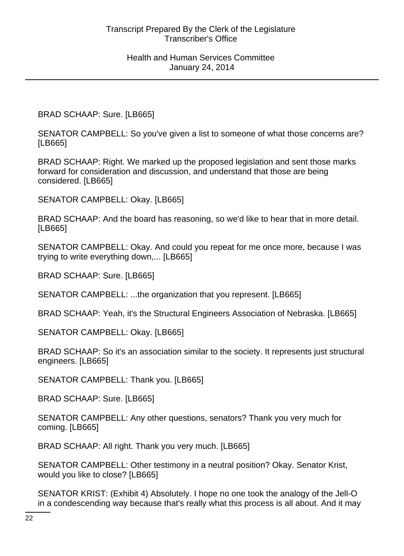BRAD SCHAAP: Sure. [LB665]

SENATOR CAMPBELL: So you've given a list to someone of what those concerns are? [LB665]

BRAD SCHAAP: Right. We marked up the proposed legislation and sent those marks forward for consideration and discussion, and understand that those are being considered. [LB665]

SENATOR CAMPBELL: Okay. [LB665]

BRAD SCHAAP: And the board has reasoning, so we'd like to hear that in more detail. [LB665]

SENATOR CAMPBELL: Okay. And could you repeat for me once more, because I was trying to write everything down,... [LB665]

BRAD SCHAAP: Sure. [LB665]

SENATOR CAMPBELL: ...the organization that you represent. [LB665]

BRAD SCHAAP: Yeah, it's the Structural Engineers Association of Nebraska. [LB665]

SENATOR CAMPBELL: Okay. [LB665]

BRAD SCHAAP: So it's an association similar to the society. It represents just structural engineers. [LB665]

SENATOR CAMPBELL: Thank you. [LB665]

BRAD SCHAAP: Sure. [LB665]

SENATOR CAMPBELL: Any other questions, senators? Thank you very much for coming. [LB665]

BRAD SCHAAP: All right. Thank you very much. [LB665]

SENATOR CAMPBELL: Other testimony in a neutral position? Okay. Senator Krist, would you like to close? [LB665]

SENATOR KRIST: (Exhibit 4) Absolutely. I hope no one took the analogy of the Jell-O in a condescending way because that's really what this process is all about. And it may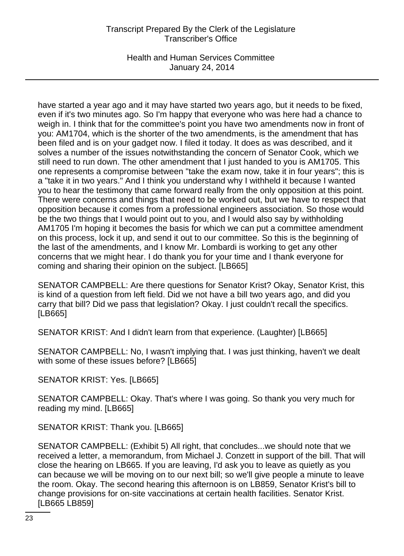Health and Human Services Committee January 24, 2014

have started a year ago and it may have started two years ago, but it needs to be fixed, even if it's two minutes ago. So I'm happy that everyone who was here had a chance to weigh in. I think that for the committee's point you have two amendments now in front of you: AM1704, which is the shorter of the two amendments, is the amendment that has been filed and is on your gadget now. I filed it today. It does as was described, and it solves a number of the issues notwithstanding the concern of Senator Cook, which we still need to run down. The other amendment that I just handed to you is AM1705. This one represents a compromise between "take the exam now, take it in four years"; this is a "take it in two years." And I think you understand why I withheld it because I wanted you to hear the testimony that came forward really from the only opposition at this point. There were concerns and things that need to be worked out, but we have to respect that opposition because it comes from a professional engineers association. So those would be the two things that I would point out to you, and I would also say by withholding AM1705 I'm hoping it becomes the basis for which we can put a committee amendment on this process, lock it up, and send it out to our committee. So this is the beginning of the last of the amendments, and I know Mr. Lombardi is working to get any other concerns that we might hear. I do thank you for your time and I thank everyone for coming and sharing their opinion on the subject. [LB665]

SENATOR CAMPBELL: Are there questions for Senator Krist? Okay, Senator Krist, this is kind of a question from left field. Did we not have a bill two years ago, and did you carry that bill? Did we pass that legislation? Okay. I just couldn't recall the specifics. [LB665]

SENATOR KRIST: And I didn't learn from that experience. (Laughter) [LB665]

SENATOR CAMPBELL: No, I wasn't implying that. I was just thinking, haven't we dealt with some of these issues before? [LB665]

SENATOR KRIST: Yes. [LB665]

SENATOR CAMPBELL: Okay. That's where I was going. So thank you very much for reading my mind. [LB665]

SENATOR KRIST: Thank you. [LB665]

SENATOR CAMPBELL: (Exhibit 5) All right, that concludes...we should note that we received a letter, a memorandum, from Michael J. Conzett in support of the bill. That will close the hearing on LB665. If you are leaving, I'd ask you to leave as quietly as you can because we will be moving on to our next bill; so we'll give people a minute to leave the room. Okay. The second hearing this afternoon is on LB859, Senator Krist's bill to change provisions for on-site vaccinations at certain health facilities. Senator Krist. [LB665 LB859]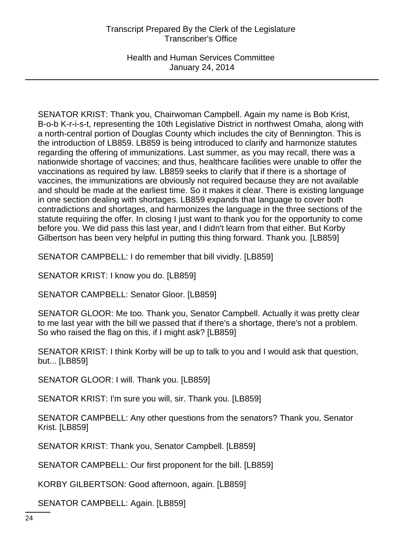Health and Human Services Committee January 24, 2014

SENATOR KRIST: Thank you, Chairwoman Campbell. Again my name is Bob Krist, B-o-b K-r-i-s-t, representing the 10th Legislative District in northwest Omaha, along with a north-central portion of Douglas County which includes the city of Bennington. This is the introduction of LB859. LB859 is being introduced to clarify and harmonize statutes regarding the offering of immunizations. Last summer, as you may recall, there was a nationwide shortage of vaccines; and thus, healthcare facilities were unable to offer the vaccinations as required by law. LB859 seeks to clarify that if there is a shortage of vaccines, the immunizations are obviously not required because they are not available and should be made at the earliest time. So it makes it clear. There is existing language in one section dealing with shortages. LB859 expands that language to cover both contradictions and shortages, and harmonizes the language in the three sections of the statute requiring the offer. In closing I just want to thank you for the opportunity to come before you. We did pass this last year, and I didn't learn from that either. But Korby Gilbertson has been very helpful in putting this thing forward. Thank you. [LB859]

SENATOR CAMPBELL: I do remember that bill vividly. [LB859]

SENATOR KRIST: I know you do. [LB859]

SENATOR CAMPBELL: Senator Gloor. [LB859]

SENATOR GLOOR: Me too. Thank you, Senator Campbell. Actually it was pretty clear to me last year with the bill we passed that if there's a shortage, there's not a problem. So who raised the flag on this, if I might ask? [LB859]

SENATOR KRIST: I think Korby will be up to talk to you and I would ask that question, but... [LB859]

SENATOR GLOOR: I will. Thank you. [LB859]

SENATOR KRIST: I'm sure you will, sir. Thank you. [LB859]

SENATOR CAMPBELL: Any other questions from the senators? Thank you, Senator Krist. [LB859]

SENATOR KRIST: Thank you, Senator Campbell. [LB859]

SENATOR CAMPBELL: Our first proponent for the bill. [LB859]

KORBY GILBERTSON: Good afternoon, again. [LB859]

SENATOR CAMPBELL: Again. [LB859]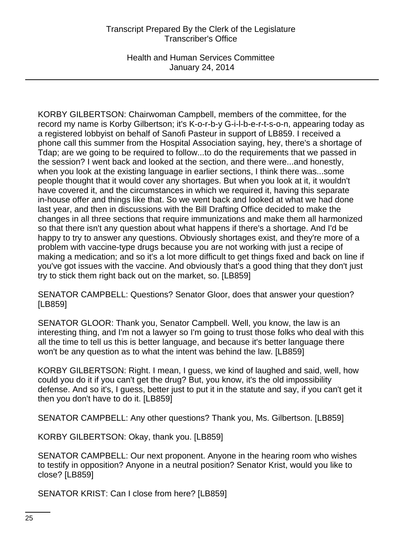Health and Human Services Committee January 24, 2014

KORBY GILBERTSON: Chairwoman Campbell, members of the committee, for the record my name is Korby Gilbertson; it's K-o-r-b-y G-i-l-b-e-r-t-s-o-n, appearing today as a registered lobbyist on behalf of Sanofi Pasteur in support of LB859. I received a phone call this summer from the Hospital Association saying, hey, there's a shortage of Tdap; are we going to be required to follow...to do the requirements that we passed in the session? I went back and looked at the section, and there were...and honestly, when you look at the existing language in earlier sections, I think there was...some people thought that it would cover any shortages. But when you look at it, it wouldn't have covered it, and the circumstances in which we required it, having this separate in-house offer and things like that. So we went back and looked at what we had done last year, and then in discussions with the Bill Drafting Office decided to make the changes in all three sections that require immunizations and make them all harmonized so that there isn't any question about what happens if there's a shortage. And I'd be happy to try to answer any questions. Obviously shortages exist, and they're more of a problem with vaccine-type drugs because you are not working with just a recipe of making a medication; and so it's a lot more difficult to get things fixed and back on line if you've got issues with the vaccine. And obviously that's a good thing that they don't just try to stick them right back out on the market, so. [LB859]

SENATOR CAMPBELL: Questions? Senator Gloor, does that answer your question? [LB859]

SENATOR GLOOR: Thank you, Senator Campbell. Well, you know, the law is an interesting thing, and I'm not a lawyer so I'm going to trust those folks who deal with this all the time to tell us this is better language, and because it's better language there won't be any question as to what the intent was behind the law. [LB859]

KORBY GILBERTSON: Right. I mean, I guess, we kind of laughed and said, well, how could you do it if you can't get the drug? But, you know, it's the old impossibility defense. And so it's, I guess, better just to put it in the statute and say, if you can't get it then you don't have to do it. [LB859]

SENATOR CAMPBELL: Any other questions? Thank you, Ms. Gilbertson. [LB859]

KORBY GILBERTSON: Okay, thank you. [LB859]

SENATOR CAMPBELL: Our next proponent. Anyone in the hearing room who wishes to testify in opposition? Anyone in a neutral position? Senator Krist, would you like to close? [LB859]

SENATOR KRIST: Can I close from here? [LB859]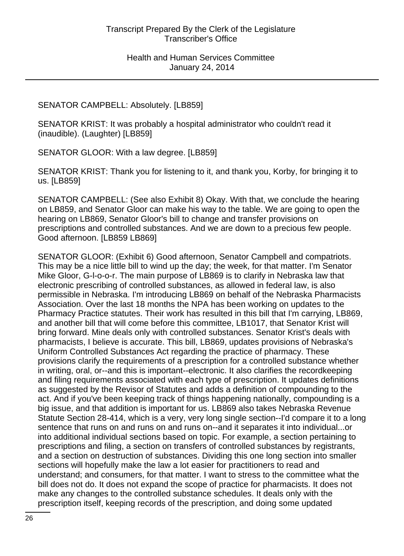### SENATOR CAMPBELL: Absolutely. [LB859]

SENATOR KRIST: It was probably a hospital administrator who couldn't read it (inaudible). (Laughter) [LB859]

SENATOR GLOOR: With a law degree. [LB859]

SENATOR KRIST: Thank you for listening to it, and thank you, Korby, for bringing it to us. [LB859]

SENATOR CAMPBELL: (See also Exhibit 8) Okay. With that, we conclude the hearing on LB859, and Senator Gloor can make his way to the table. We are going to open the hearing on LB869, Senator Gloor's bill to change and transfer provisions on prescriptions and controlled substances. And we are down to a precious few people. Good afternoon. [LB859 LB869]

SENATOR GLOOR: (Exhibit 6) Good afternoon, Senator Campbell and compatriots. This may be a nice little bill to wind up the day; the week, for that matter. I'm Senator Mike Gloor, G-l-o-o-r. The main purpose of LB869 is to clarify in Nebraska law that electronic prescribing of controlled substances, as allowed in federal law, is also permissible in Nebraska. I'm introducing LB869 on behalf of the Nebraska Pharmacists Association. Over the last 18 months the NPA has been working on updates to the Pharmacy Practice statutes. Their work has resulted in this bill that I'm carrying, LB869, and another bill that will come before this committee, LB1017, that Senator Krist will bring forward. Mine deals only with controlled substances. Senator Krist's deals with pharmacists, I believe is accurate. This bill, LB869, updates provisions of Nebraska's Uniform Controlled Substances Act regarding the practice of pharmacy. These provisions clarify the requirements of a prescription for a controlled substance whether in writing, oral, or--and this is important--electronic. It also clarifies the recordkeeping and filing requirements associated with each type of prescription. It updates definitions as suggested by the Revisor of Statutes and adds a definition of compounding to the act. And if you've been keeping track of things happening nationally, compounding is a big issue, and that addition is important for us. LB869 also takes Nebraska Revenue Statute Section 28-414, which is a very, very long single section--I'd compare it to a long sentence that runs on and runs on and runs on--and it separates it into individual...or into additional individual sections based on topic. For example, a section pertaining to prescriptions and filing, a section on transfers of controlled substances by registrants, and a section on destruction of substances. Dividing this one long section into smaller sections will hopefully make the law a lot easier for practitioners to read and understand; and consumers, for that matter. I want to stress to the committee what the bill does not do. It does not expand the scope of practice for pharmacists. It does not make any changes to the controlled substance schedules. It deals only with the prescription itself, keeping records of the prescription, and doing some updated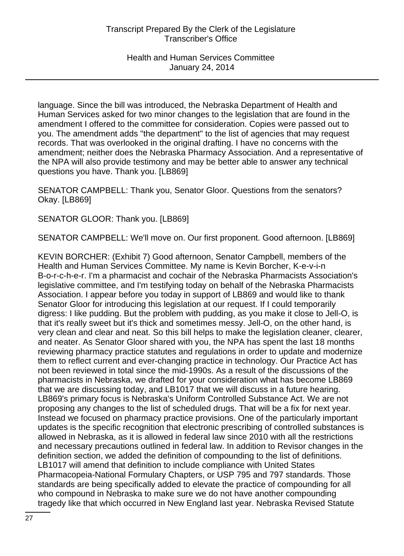language. Since the bill was introduced, the Nebraska Department of Health and Human Services asked for two minor changes to the legislation that are found in the amendment I offered to the committee for consideration. Copies were passed out to you. The amendment adds "the department" to the list of agencies that may request records. That was overlooked in the original drafting. I have no concerns with the amendment; neither does the Nebraska Pharmacy Association. And a representative of the NPA will also provide testimony and may be better able to answer any technical questions you have. Thank you. [LB869]

SENATOR CAMPBELL: Thank you, Senator Gloor. Questions from the senators? Okay. [LB869]

SENATOR GLOOR: Thank you. [LB869]

SENATOR CAMPBELL: We'll move on. Our first proponent. Good afternoon. [LB869]

KEVIN BORCHER: (Exhibit 7) Good afternoon, Senator Campbell, members of the Health and Human Services Committee. My name is Kevin Borcher, K-e-v-i-n B-o-r-c-h-e-r. I'm a pharmacist and cochair of the Nebraska Pharmacists Association's legislative committee, and I'm testifying today on behalf of the Nebraska Pharmacists Association. I appear before you today in support of LB869 and would like to thank Senator Gloor for introducing this legislation at our request. If I could temporarily digress: I like pudding. But the problem with pudding, as you make it close to Jell-O, is that it's really sweet but it's thick and sometimes messy. Jell-O, on the other hand, is very clean and clear and neat. So this bill helps to make the legislation cleaner, clearer, and neater. As Senator Gloor shared with you, the NPA has spent the last 18 months reviewing pharmacy practice statutes and regulations in order to update and modernize them to reflect current and ever-changing practice in technology. Our Practice Act has not been reviewed in total since the mid-1990s. As a result of the discussions of the pharmacists in Nebraska, we drafted for your consideration what has become LB869 that we are discussing today, and LB1017 that we will discuss in a future hearing. LB869's primary focus is Nebraska's Uniform Controlled Substance Act. We are not proposing any changes to the list of scheduled drugs. That will be a fix for next year. Instead we focused on pharmacy practice provisions. One of the particularly important updates is the specific recognition that electronic prescribing of controlled substances is allowed in Nebraska, as it is allowed in federal law since 2010 with all the restrictions and necessary precautions outlined in federal law. In addition to Revisor changes in the definition section, we added the definition of compounding to the list of definitions. LB1017 will amend that definition to include compliance with United States Pharmacopeia-National Formulary Chapters, or USP 795 and 797 standards. Those standards are being specifically added to elevate the practice of compounding for all who compound in Nebraska to make sure we do not have another compounding tragedy like that which occurred in New England last year. Nebraska Revised Statute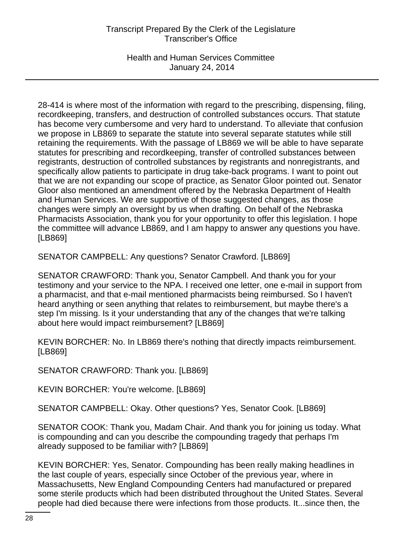Health and Human Services Committee January 24, 2014

28-414 is where most of the information with regard to the prescribing, dispensing, filing, recordkeeping, transfers, and destruction of controlled substances occurs. That statute has become very cumbersome and very hard to understand. To alleviate that confusion we propose in LB869 to separate the statute into several separate statutes while still retaining the requirements. With the passage of LB869 we will be able to have separate statutes for prescribing and recordkeeping, transfer of controlled substances between registrants, destruction of controlled substances by registrants and nonregistrants, and specifically allow patients to participate in drug take-back programs. I want to point out that we are not expanding our scope of practice, as Senator Gloor pointed out. Senator Gloor also mentioned an amendment offered by the Nebraska Department of Health and Human Services. We are supportive of those suggested changes, as those changes were simply an oversight by us when drafting. On behalf of the Nebraska Pharmacists Association, thank you for your opportunity to offer this legislation. I hope the committee will advance LB869, and I am happy to answer any questions you have. [LB869]

SENATOR CAMPBELL: Any questions? Senator Crawford. [LB869]

SENATOR CRAWFORD: Thank you, Senator Campbell. And thank you for your testimony and your service to the NPA. I received one letter, one e-mail in support from a pharmacist, and that e-mail mentioned pharmacists being reimbursed. So I haven't heard anything or seen anything that relates to reimbursement, but maybe there's a step I'm missing. Is it your understanding that any of the changes that we're talking about here would impact reimbursement? [LB869]

KEVIN BORCHER: No. In LB869 there's nothing that directly impacts reimbursement. [LB869]

SENATOR CRAWFORD: Thank you. [LB869]

KEVIN BORCHER: You're welcome. [LB869]

SENATOR CAMPBELL: Okay. Other questions? Yes, Senator Cook. [LB869]

SENATOR COOK: Thank you, Madam Chair. And thank you for joining us today. What is compounding and can you describe the compounding tragedy that perhaps I'm already supposed to be familiar with? [LB869]

KEVIN BORCHER: Yes, Senator. Compounding has been really making headlines in the last couple of years, especially since October of the previous year, where in Massachusetts, New England Compounding Centers had manufactured or prepared some sterile products which had been distributed throughout the United States. Several people had died because there were infections from those products. It...since then, the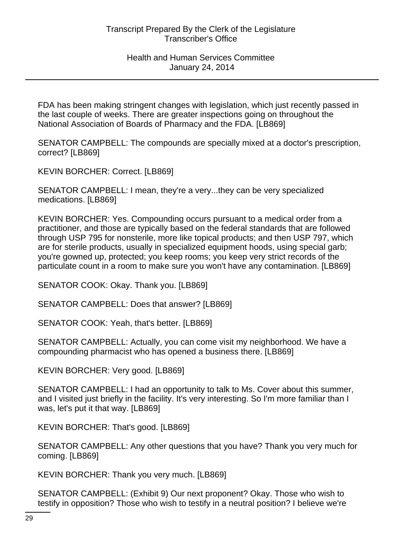FDA has been making stringent changes with legislation, which just recently passed in the last couple of weeks. There are greater inspections going on throughout the National Association of Boards of Pharmacy and the FDA. [LB869]

SENATOR CAMPBELL: The compounds are specially mixed at a doctor's prescription, correct? [LB869]

KEVIN BORCHER: Correct. [LB869]

SENATOR CAMPBELL: I mean, they're a very...they can be very specialized medications. [LB869]

KEVIN BORCHER: Yes. Compounding occurs pursuant to a medical order from a practitioner, and those are typically based on the federal standards that are followed through USP 795 for nonsterile, more like topical products; and then USP 797, which are for sterile products, usually in specialized equipment hoods, using special garb; you're gowned up, protected; you keep rooms; you keep very strict records of the particulate count in a room to make sure you won't have any contamination. [LB869]

SENATOR COOK: Okay. Thank you. [LB869]

SENATOR CAMPBELL: Does that answer? [LB869]

SENATOR COOK: Yeah, that's better. [LB869]

SENATOR CAMPBELL: Actually, you can come visit my neighborhood. We have a compounding pharmacist who has opened a business there. [LB869]

KEVIN BORCHER: Very good. [LB869]

SENATOR CAMPBELL: I had an opportunity to talk to Ms. Cover about this summer, and I visited just briefly in the facility. It's very interesting. So I'm more familiar than I was, let's put it that way. [LB869]

KEVIN BORCHER: That's good. [LB869]

SENATOR CAMPBELL: Any other questions that you have? Thank you very much for coming. [LB869]

KEVIN BORCHER: Thank you very much. [LB869]

SENATOR CAMPBELL: (Exhibit 9) Our next proponent? Okay. Those who wish to testify in opposition? Those who wish to testify in a neutral position? I believe we're